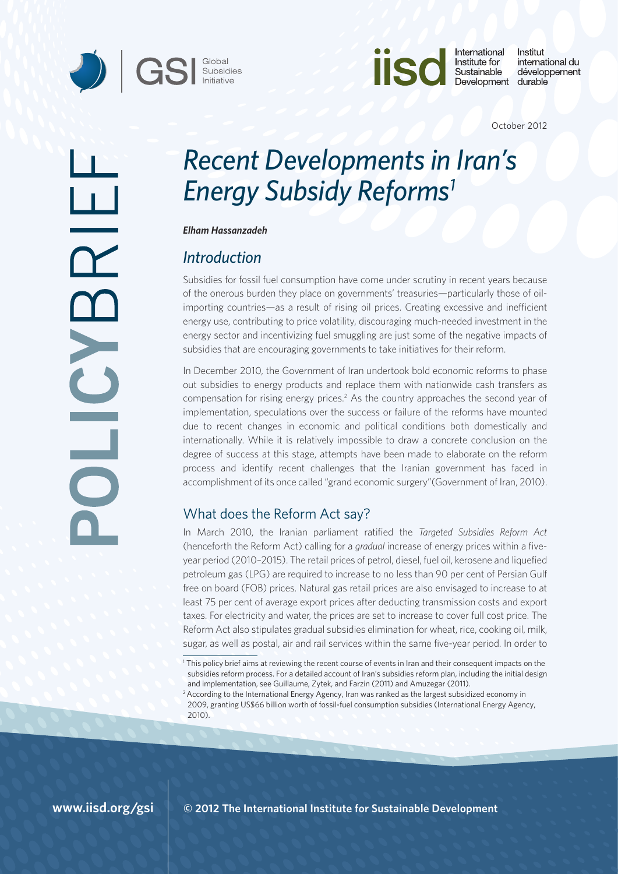



International Institut Institute for international du Sustainable développement Development durable

October 2012

# *Recent Developments in Iran's Energy Subsidy Reforms1*

*Elham Hassanzadeh* 

# *Introduction*

Subsidies for fossil fuel consumption have come under scrutiny in recent years because of the onerous burden they place on governments' treasuries—particularly those of oilimporting countries—as a result of rising oil prices. Creating excessive and inefficient energy use, contributing to price volatility, discouraging much-needed investment in the energy sector and incentivizing fuel smuggling are just some of the negative impacts of subsidies that are encouraging governments to take initiatives for their reform.

In December 2010, the Government of Iran undertook bold economic reforms to phase out subsidies to energy products and replace them with nationwide cash transfers as compensation for rising energy prices.<sup>2</sup> As the country approaches the second year of implementation, speculations over the success or failure of the reforms have mounted due to recent changes in economic and political conditions both domestically and internationally. While it is relatively impossible to draw a concrete conclusion on the degree of success at this stage, attempts have been made to elaborate on the reform process and identify recent challenges that the Iranian government has faced in accomplishment of its once called "grand economic surgery"(Government of Iran, 2010).

# What does the Reform Act say?

In March 2010, the Iranian parliament ratified the *Targeted Subsidies Reform Act*  (henceforth the Reform Act) calling for a *gradual* increase of energy prices within a fiveyear period (2010–2015). The retail prices of petrol, diesel, fuel oil, kerosene and liquefied petroleum gas (LPG) are required to increase to no less than 90 per cent of Persian Gulf free on board (FOB) prices. Natural gas retail prices are also envisaged to increase to at least 75 per cent of average export prices after deducting transmission costs and export taxes. For electricity and water, the prices are set to increase to cover full cost price. The Reform Act also stipulates gradual subsidies elimination for wheat, rice, cooking oil, milk, sugar, as well as postal, air and rail services within the same five-year period. In order to

a<br>Bar

**© 2012 The International Institute for Sustainable Development**

<sup>1</sup> This policy brief aims at reviewing the recent course of events in Iran and their consequent impacts on the subsidies reform process. For a detailed account of Iran's subsidies reform plan, including the initial design and implementation, see Guillaume, Zytek, and Farzin (2011) and Amuzegar (2011).

<sup>&</sup>lt;sup>2</sup> According to the International Energy Agency, Iran was ranked as the largest subsidized economy in 2009, granting US\$66 billion worth of fossil-fuel consumption subsidies (International Energy Agency, 2010).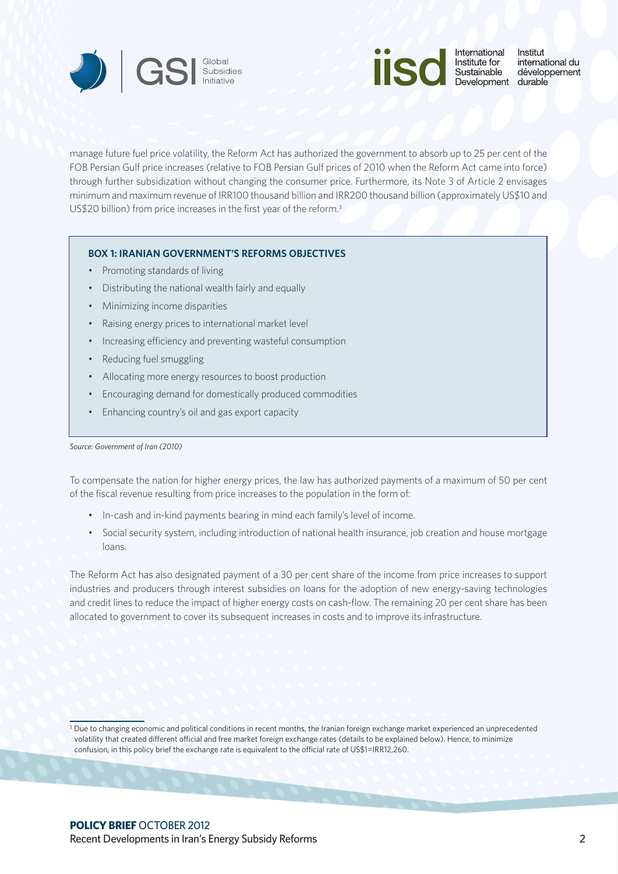



manage future fuel price volatility, the Reform Act has authorized the government to absorb up to 25 per cent of the FOB Persian Gulf price increases (relative to FOB Persian Gulf prices of 2010 when the Reform Act came into force) through further subsidization without changing the consumer price. Furthermore, its Note 3 of Article 2 envisages minimum and maximum revenue of IRR100 thousand billion and IRR200 thousand billion (approximately US\$10 and US\$20 billion) from price increases in the first year of the reform.<sup>3</sup>

## **BOX 1: IRANIAN GOVERNMENT'S REFORMS OBJECTIVES**

- • Promoting standards of living
- Distributing the national wealth fairly and equally
- • Minimizing income disparities
- Raising energy prices to international market level
- Increasing efficiency and preventing wasteful consumption
- • Reducing fuel smuggling
- • Allocating more energy resources to boost production
- Encouraging demand for domestically produced commodities
- Enhancing country's oil and gas export capacity

#### *Source: Government of Iran (2010)*

To compensate the nation for higher energy prices, the law has authorized payments of a maximum of 50 per cent of the fiscal revenue resulting from price increases to the population in the form of:

- In-cash and in-kind payments bearing in mind each family's level of income.
- Social security system, including introduction of national health insurance, job creation and house mortgage loans.

The Reform Act has also designated payment of a 30 per cent share of the income from price increases to support industries and producers through interest subsidies on loans for the adoption of new energy-saving technologies and credit lines to reduce the impact of higher energy costs on cash-flow. The remaining 20 per cent share has been allocated to government to cover its subsequent increases in costs and to improve its infrastructure.

<sup>&</sup>lt;sup>3</sup> Due to changing economic and political conditions in recent months, the Iranian foreign exchange market experienced an unprecedented volatility that created different official and free market foreign exchange rates (details to be explained below). Hence, to minimize confusion, in this policy brief the exchange rate is equivalent to the official rate of US\$1=IRR12,260.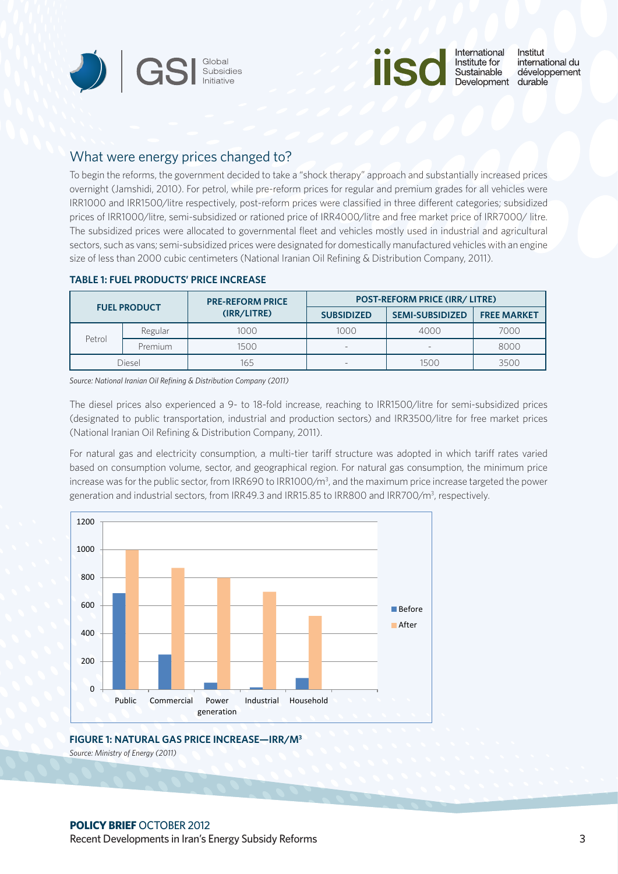



## What were energy prices changed to?

To begin the reforms, the government decided to take a "shock therapy" approach and substantially increased prices overnight (Jamshidi, 2010). For petrol, while pre-reform prices for regular and premium grades for all vehicles were IRR1000 and IRR1500/litre respectively, post-reform prices were classified in three different categories; subsidized prices of IRR1000/litre, semi-subsidized or rationed price of IRR4000/litre and free market price of IRR7000/litre. The subsidized prices were allocated to governmental fleet and vehicles mostly used in industrial and agricultural sectors, such as vans; semi-subsidized prices were designated for domestically manufactured vehicles with an engine size of less than 2000 cubic centimeters (National Iranian Oil Refining & Distribution Company, 2011).

| <b>FUEL PRODUCT</b> |         | <b>PRE-REFORM PRICE</b><br>(IRR/LITRE) | <b>POST-REFORM PRICE (IRR/ LITRE)</b> |                          |                    |
|---------------------|---------|----------------------------------------|---------------------------------------|--------------------------|--------------------|
|                     |         |                                        | <b>SUBSIDIZED</b>                     | <b>SEMI-SUBSIDIZED</b>   | <b>FREE MARKET</b> |
| Petrol              | Regular | 1000                                   | 1000                                  | 4000                     | 7000               |
|                     | Premium | 1500                                   | $\overline{\phantom{a}}$              | $\overline{\phantom{a}}$ | 8000               |
| Diesel              |         | 165                                    | $\overline{\phantom{a}}$              | 1500                     | 3500               |

#### **TABLE 1: FUEL PRODUCTS' PRICE INCREASE**

*Source: National Iranian Oil Refining & Distribution Company (2011)*

The diesel prices also experienced a 9- to 18-fold increase, reaching to IRR1500/litre for semi-subsidized prices (designated to public transportation, industrial and production sectors) and IRR3500/litre for free market prices (National Iranian Oil Refining & Distribution Company, 2011).

For natural gas and electricity consumption, a multi-tier tariff structure was adopted in which tariff rates varied based on consumption volume, sector, and geographical region. For natural gas consumption, the minimum price increase was for the public sector, from IRR690 to IRR1000/m<sup>3</sup>, and the maximum price increase targeted the power generation and industrial sectors, from IRR49.3 and IRR15.85 to IRR800 and IRR700/m<sup>3</sup>, respectively.



## **FIGURE 1: NATURAL GAS PRICE INCREASE—IRR/M3**

*Source: Ministry of Energy (2011)*

## **POLICY BRIEF** OCTOBER 2012

Recent Developments in Iran's Energy Subsidy Reforms 3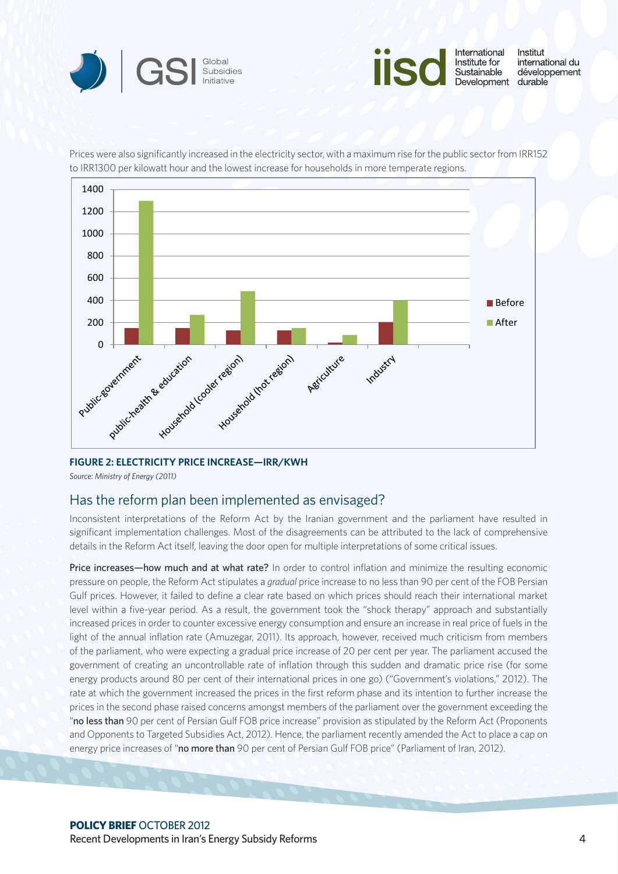



Prices were also significantly increased in the electricity sector, with a maximum rise for the public sector from IRR152 to IRR1300 per kilowatt hour and the lowest increase for households in more temperate regions.



## **FIGURE 2: ELECTRICITY PRICE INCREASE—IRR/KWH**

*Source: Ministry of Energy (2011)*

## Has the reform plan been implemented as envisaged?

Inconsistent interpretations of the Reform Act by the Iranian government and the parliament have resulted in significant implementation challenges. Most of the disagreements can be attributed to the lack of comprehensive details in the Reform Act itself, leaving the door open for multiple interpretations of some critical issues.

Price increases—how much and at what rate? In order to control inflation and minimize the resulting economic pressure on people, the Reform Act stipulates a *gradual* price increase to no less than 90 per cent of the FOB Persian Gulf prices. However, it failed to define a clear rate based on which prices should reach their international market level within a five-year period. As a result, the government took the "shock therapy" approach and substantially increased prices in order to counter excessive energy consumption and ensure an increase in real price of fuels in the light of the annual inflation rate (Amuzegar, 2011). Its approach, however, received much criticism from members of the parliament, who were expecting a gradual price increase of 20 per cent per year. The parliament accused the government of creating an uncontrollable rate of inflation through this sudden and dramatic price rise (for some energy products around 80 per cent of their international prices in one go) ("Government's violations," 2012). The rate at which the government increased the prices in the first reform phase and its intention to further increase the prices in the second phase raised concerns amongst members of the parliament over the government exceeding the "no less than 90 per cent of Persian Gulf FOB price increase" provision as stipulated by the Reform Act (Proponents and Opponents to Targeted Subsidies Act, 2012). Hence, the parliament recently amended the Act to place a cap on energy price increases of "no more than 90 per cent of Persian Gulf FOB price" (Parliament of Iran, 2012).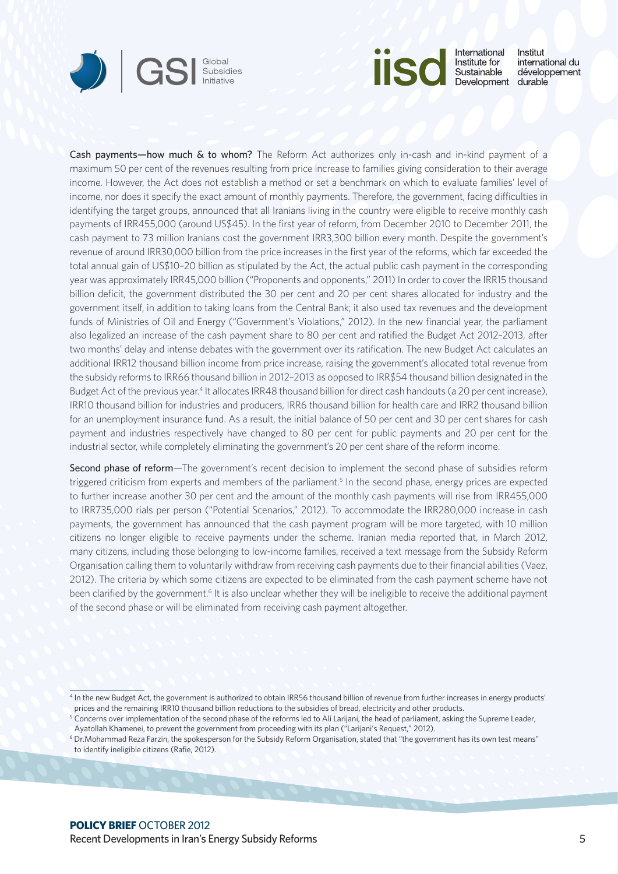



International Institut Institute for international du Sustainable développement Development durable

Cash payments—how much & to whom? The Reform Act authorizes only in-cash and in-kind payment of a maximum 50 per cent of the revenues resulting from price increase to families giving consideration to their average income. However, the Act does not establish a method or set a benchmark on which to evaluate families' level of income, nor does it specify the exact amount of monthly payments. Therefore, the government, facing difficulties in identifying the target groups, announced that all Iranians living in the country were eligible to receive monthly cash payments of IRR455,000 (around US\$45). In the first year of reform, from December 2010 to December 2011, the cash payment to 73 million Iranians cost the government IRR3,300 billion every month. Despite the government's revenue of around IRR30,000 billion from the price increases in the first year of the reforms, which far exceeded the total annual gain of US\$10–20 billion as stipulated by the Act, the actual public cash payment in the corresponding year was approximately IRR45,000 billion ("Proponents and opponents," 2011) In order to cover the IRR15 thousand billion deficit, the government distributed the 30 per cent and 20 per cent shares allocated for industry and the government itself, in addition to taking loans from the Central Bank; it also used tax revenues and the development funds of Ministries of Oil and Energy ("Government's Violations," 2012). In the new financial year, the parliament also legalized an increase of the cash payment share to 80 per cent and ratified the Budget Act 2012–2013, after two months' delay and intense debates with the government over its ratification. The new Budget Act calculates an additional IRR12 thousand billion income from price increase, raising the government's allocated total revenue from the subsidy reforms to IRR66 thousand billion in 2012–2013 as opposed to IRR\$54 thousand billion designated in the Budget Act of the previous year.<sup>4</sup> It allocates IRR48 thousand billion for direct cash handouts (a 20 per cent increase), IRR10 thousand billion for industries and producers, IRR6 thousand billion for health care and IRR2 thousand billion for an unemployment insurance fund. As a result, the initial balance of 50 per cent and 30 per cent shares for cash payment and industries respectively have changed to 80 per cent for public payments and 20 per cent for the industrial sector, while completely eliminating the government's 20 per cent share of the reform income.

Second phase of reform—The government's recent decision to implement the second phase of subsidies reform triggered criticism from experts and members of the parliament.<sup>5</sup> In the second phase, energy prices are expected to further increase another 30 per cent and the amount of the monthly cash payments will rise from IRR455,000 to IRR735,000 rials per person ("Potential Scenarios," 2012). To accommodate the IRR280,000 increase in cash payments, the government has announced that the cash payment program will be more targeted, with 10 million citizens no longer eligible to receive payments under the scheme. Iranian media reported that, in March 2012, many citizens, including those belonging to low-income families, received a text message from the Subsidy Reform Organisation calling them to voluntarily withdraw from receiving cash payments due to their financial abilities (Vaez, 2012). The criteria by which some citizens are expected to be eliminated from the cash payment scheme have not been clarified by the government.<sup>6</sup> It is also unclear whether they will be ineligible to receive the additional payment of the second phase or will be eliminated from receiving cash payment altogether.

<sup>4</sup> In the new Budget Act, the government is authorized to obtain IRR56 thousand billion of revenue from further increases in energy products' prices and the remaining IRR10 thousand billion reductions to the subsidies of bread, electricity and other products.

<sup>5</sup> Concerns over implementation of the second phase of the reforms led to Ali Larijani, the head of parliament, asking the Supreme Leader, Ayatollah Khamenei, to prevent the government from proceeding with its plan ("Larijani's Request," 2012).

<sup>6</sup> <Dr.Mohammad> Reza Farzin, the spokesperson for the Subsidy Reform Organisation, stated that "the government has its own test means" to identify ineligible citizens (Rafie, 2012).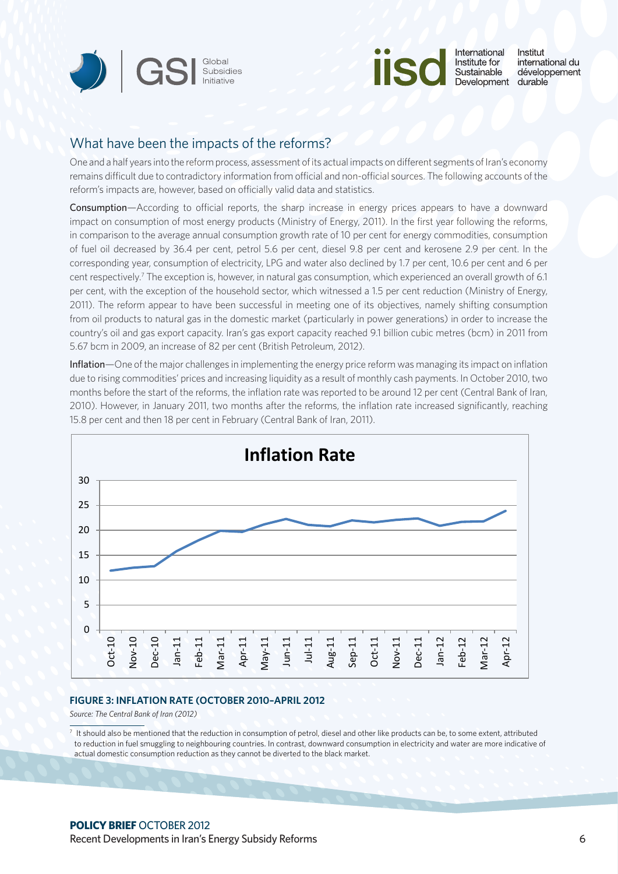



International Institut Institute for international du Sustainable développement Development durable

## What have been the impacts of the reforms?

One and a half years into the reform process, assessment of its actual impacts on different segments of Iran's economy remains difficult due to contradictory information from official and non-official sources. The following accounts of the reform's impacts are, however, based on officially valid data and statistics.

Consumption—According to official reports, the sharp increase in energy prices appears to have a downward impact on consumption of most energy products (Ministry of Energy, 2011). In the first year following the reforms, in comparison to the average annual consumption growth rate of 10 per cent for energy commodities, consumption of fuel oil decreased by 36.4 per cent, petrol 5.6 per cent, diesel 9.8 per cent and kerosene 2.9 per cent. In the corresponding year, consumption of electricity, LPG and water also declined by 1.7 per cent, 10.6 per cent and 6 per cent respectively.7 The exception is, however, in natural gas consumption, which experienced an overall growth of 6.1 per cent, with the exception of the household sector, which witnessed a 1.5 per cent reduction (Ministry of Energy, 2011). The reform appear to have been successful in meeting one of its objectives, namely shifting consumption from oil products to natural gas in the domestic market (particularly in power generations) in order to increase the country's oil and gas export capacity. Iran's gas export capacity reached 9.1 billion cubic metres (bcm) in 2011 from 5.67 bcm in 2009, an increase of 82 per cent (British Petroleum, 2012).

Inflation—One of the major challenges in implementing the energy price reform was managing its impact on inflation due to rising commodities' prices and increasing liquidity as a result of monthly cash payments. In October 2010, two months before the start of the reforms, the inflation rate was reported to be around 12 per cent (Central Bank of Iran, 2010). However, in January 2011, two months after the reforms, the inflation rate increased significantly, reaching 15.8 per cent and then 18 per cent in February (Central Bank of Iran, 2011).



#### **FIGURE 3: INFLATION RATE (OCTOBER 2010–APRIL 2012**

*Source: The Central Bank of Iran (2012)*

 $7$  It should also be mentioned that the reduction in consumption of petrol, diesel and other like products can be, to some extent, attributed to reduction in fuel smuggling to neighbouring countries. In contrast, downward consumption in electricity and water are more indicative of actual domestic consumption reduction as they cannot be diverted to the black market.

## **POLICY BRIEF** OCTOBER 2012

Recent Developments in Iran's Energy Subsidy Reforms 6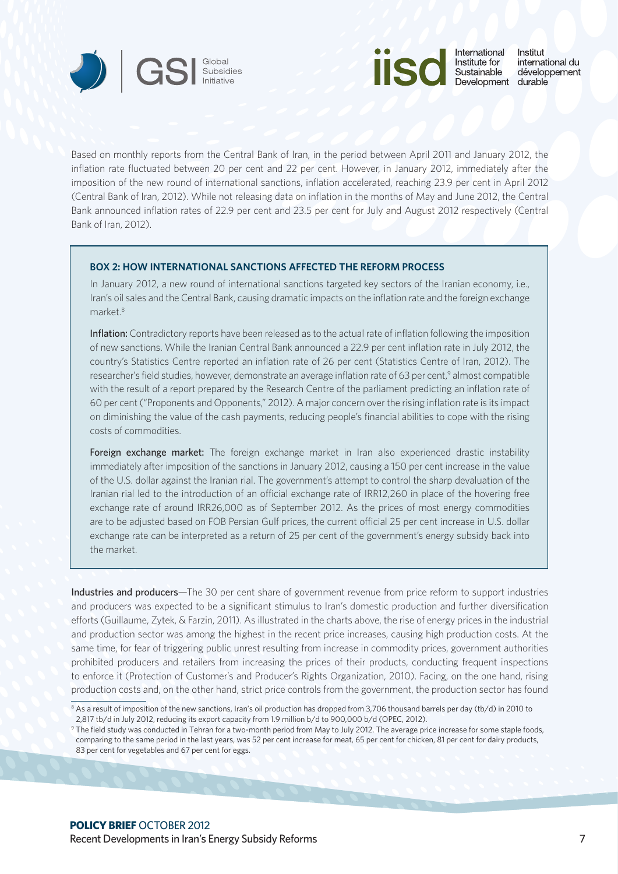![](_page_6_Picture_0.jpeg)

![](_page_6_Picture_1.jpeg)

International Institut international du Sustainable développement Development durable

Based on monthly reports from the Central Bank of Iran, in the period between April 2011 and January 2012, the inflation rate fluctuated between 20 per cent and 22 per cent. However, in January 2012, immediately after the imposition of the new round of international sanctions, inflation accelerated, reaching 23.9 per cent in April 2012 (Central Bank of Iran, 2012). While not releasing data on inflation in the months of May and June 2012, the Central Bank announced inflation rates of 22.9 per cent and 23.5 per cent for July and August 2012 respectively (Central Bank of Iran, 2012).

#### **BOX 2: HOW INTERNATIONAL SANCTIONS AFFECTED THE REFORM PROCESS**

In January 2012, a new round of international sanctions targeted key sectors of the Iranian economy, i.e., Iran's oil sales and the Central Bank, causing dramatic impacts on the inflation rate and the foreign exchange market.8

Inflation: Contradictory reports have been released as to the actual rate of inflation following the imposition of new sanctions. While the Iranian Central Bank announced a 22.9 per cent inflation rate in July 2012, the country's Statistics Centre reported an inflation rate of 26 per cent (Statistics Centre of Iran, 2012). The researcher's field studies, however, demonstrate an average inflation rate of 63 per cent,<sup>9</sup> almost compatible with the result of a report prepared by the Research Centre of the parliament predicting an inflation rate of 60 per cent ("Proponents and Opponents," 2012). A major concern over the rising inflation rate is its impact on diminishing the value of the cash payments, reducing people's financial abilities to cope with the rising costs of commodities.

Foreign exchange market: The foreign exchange market in Iran also experienced drastic instability immediately after imposition of the sanctions in January 2012, causing a 150 per cent increase in the value of the U.S. dollar against the Iranian rial. The government's attempt to control the sharp devaluation of the Iranian rial led to the introduction of an official exchange rate of IRR12,260 in place of the hovering free exchange rate of around IRR26,000 as of September 2012. As the prices of most energy commodities are to be adjusted based on FOB Persian Gulf prices, the current official 25 per cent increase in U.S. dollar exchange rate can be interpreted as a return of 25 per cent of the government's energy subsidy back into the market.

Industries and producers—The 30 per cent share of government revenue from price reform to support industries and producers was expected to be a significant stimulus to Iran's domestic production and further diversification efforts (Guillaume, Zytek, & Farzin, 2011). As illustrated in the charts above, the rise of energy prices in the industrial and production sector was among the highest in the recent price increases, causing high production costs. At the same time, for fear of triggering public unrest resulting from increase in commodity prices, government authorities prohibited producers and retailers from increasing the prices of their products, conducting frequent inspections to enforce it (Protection of Customer's and Producer's Rights Organization, 2010). Facing, on the one hand, rising production costs and, on the other hand, strict price controls from the government, the production sector has found

<sup>&</sup>lt;sup>8</sup> As a result of imposition of the new sanctions, Iran's oil production has dropped from 3,706 thousand barrels per day (tb/d) in 2010 to 2,817 tb/d in July 2012, reducing its export capacity from 1.9 million b/d to 900,000 b/d (OPEC, 2012).

<sup>9</sup> The field study was conducted in Tehran for a two-month period from May to July 2012. The average price increase for some staple foods, comparing to the same period in the last years, was 52 per cent increase for meat, 65 per cent for chicken, 81 per cent for dairy products, 83 per cent for vegetables and 67 per cent for eggs.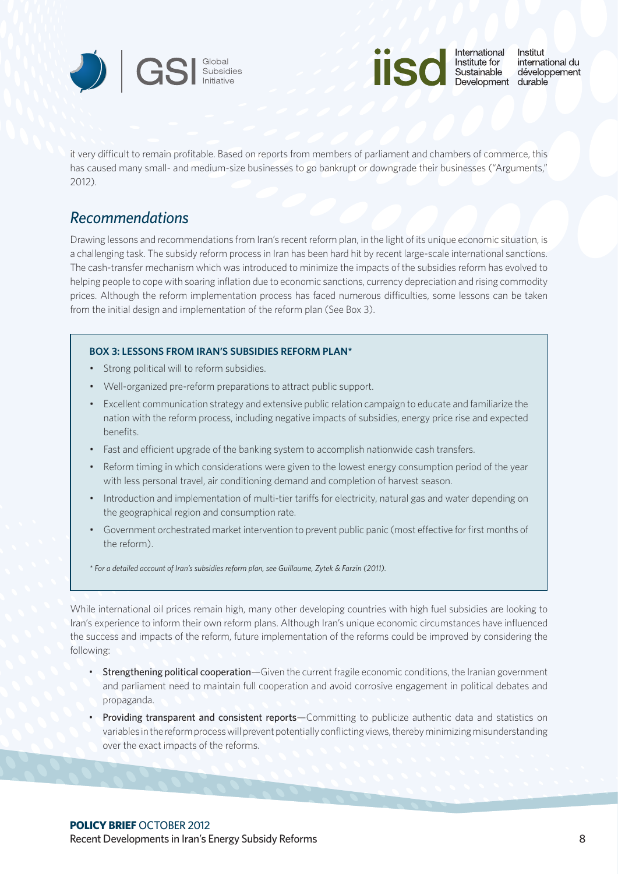![](_page_7_Picture_0.jpeg)

![](_page_7_Picture_1.jpeg)

it very difficult to remain profitable. Based on reports from members of parliament and chambers of commerce, this has caused many small- and medium-size businesses to go bankrupt or downgrade their businesses ("Arguments," 2012).

# *Recommendations*

Drawing lessons and recommendations from Iran's recent reform plan, in the light of its unique economic situation, is a challenging task. The subsidy reform process in Iran has been hard hit by recent large-scale international sanctions. The cash-transfer mechanism which was introduced to minimize the impacts of the subsidies reform has evolved to helping people to cope with soaring inflation due to economic sanctions, currency depreciation and rising commodity prices. Although the reform implementation process has faced numerous difficulties, some lessons can be taken from the initial design and implementation of the reform plan (See Box 3).

## **BOX 3: LESSONS FROM IRAN'S SUBSIDIES REFORM PLAN\***

- • Strong political will to reform subsidies.
- Well-organized pre-reform preparations to attract public support.
- • Excellent communication strategy and extensive public relation campaign to educate and familiarize the nation with the reform process, including negative impacts of subsidies, energy price rise and expected benefits.
- Fast and efficient upgrade of the banking system to accomplish nationwide cash transfers.
- Reform timing in which considerations were given to the lowest energy consumption period of the year with less personal travel, air conditioning demand and completion of harvest season.
- Introduction and implementation of multi-tier tariffs for electricity, natural gas and water depending on the geographical region and consumption rate.
- • Government orchestrated market intervention to prevent public panic (most effective for first months of the reform).

*\* For a detailed account of Iran's subsidies reform plan, see Guillaume, Zytek & Farzin (2011).* 

While international oil prices remain high, many other developing countries with high fuel subsidies are looking to Iran's experience to inform their own reform plans. Although Iran's unique economic circumstances have influenced the success and impacts of the reform, future implementation of the reforms could be improved by considering the following:

- Strengthening political cooperation—Given the current fragile economic conditions, the Iranian government and parliament need to maintain full cooperation and avoid corrosive engagement in political debates and propaganda.
- Providing transparent and consistent reports—Committing to publicize authentic data and statistics on variables in the reform process will prevent potentially conflicting views, thereby minimizing misunderstanding over the exact impacts of the reforms.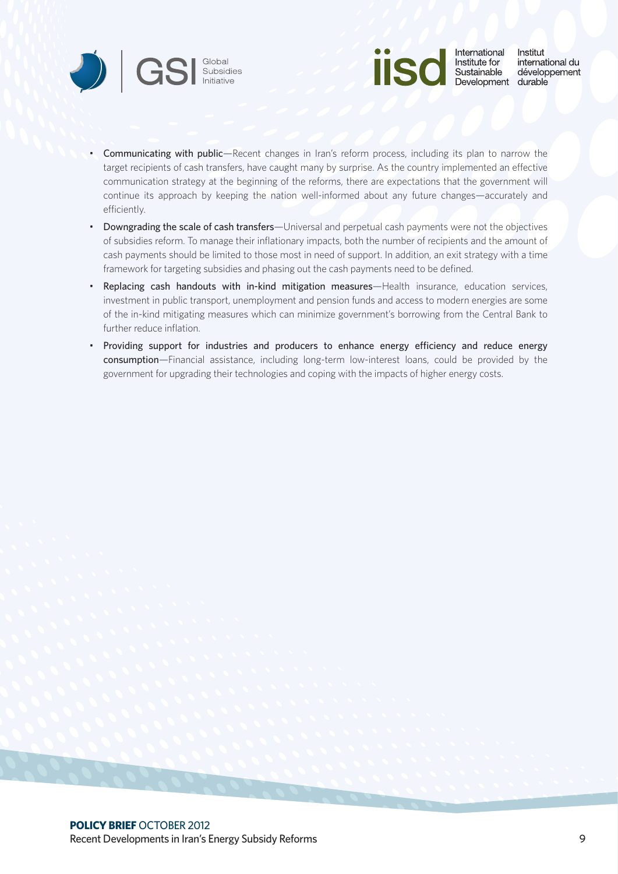![](_page_8_Picture_0.jpeg)

![](_page_8_Picture_1.jpeg)

- • Communicating with public—Recent changes in Iran's reform process, including its plan to narrow the target recipients of cash transfers, have caught many by surprise. As the country implemented an effective communication strategy at the beginning of the reforms, there are expectations that the government will continue its approach by keeping the nation well-informed about any future changes—accurately and efficiently.
- Downgrading the scale of cash transfers—Universal and perpetual cash payments were not the objectives of subsidies reform. To manage their inflationary impacts, both the number of recipients and the amount of cash payments should be limited to those most in need of support. In addition, an exit strategy with a time framework for targeting subsidies and phasing out the cash payments need to be defined.
- • Replacing cash handouts with in-kind mitigation measures—Health insurance, education services, investment in public transport, unemployment and pension funds and access to modern energies are some of the in-kind mitigating measures which can minimize government's borrowing from the Central Bank to further reduce inflation.
- • Providing support for industries and producers to enhance energy efficiency and reduce energy consumption—Financial assistance, including long-term low-interest loans, could be provided by the government for upgrading their technologies and coping with the impacts of higher energy costs.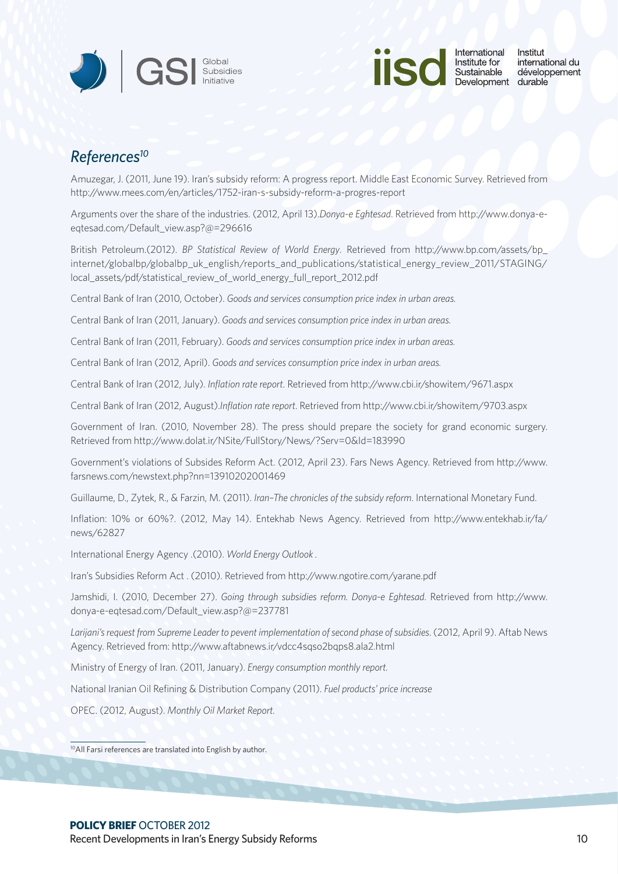![](_page_9_Picture_0.jpeg)

![](_page_9_Picture_1.jpeg)

# *References10*

Amuzegar, J. (2011, June 19). Iran's subsidy reform: A progress report. Middle East Economic Survey. Retrieved from <http://www.mees.com/en/articles/1752>-iran-s-subsidy-reform-a-progres-report

Arguments over the share of the industries. (2012, April 13).*Donya-e Eghtesad*. Retrieved from [http://www.donya-e](http://www.donya-e-eqtesad.com/Default_view.asp)[eqtesad.com/Default\\_view.asp?](http://www.donya-e-eqtesad.com/Default_view.asp)@=296616

British Petroleum.(2012). *BP Statistical Review of World Energy*. Retrieved from [http://www.bp.com/assets/bp\\_](http://www.bp.com/assets/bp_internet/globalbp/globalbp_uk_english/reports_and_publications/statistical_energy_review_2011/STAGING/local_assets/pdf/statistical_review_of_world_energy_full_report_2012.pdf) [internet/globalbp/globalbp\\_uk\\_english/reports\\_and\\_publications/statistical\\_energy\\_review\\_2011/STAGING/](http://www.bp.com/assets/bp_internet/globalbp/globalbp_uk_english/reports_and_publications/statistical_energy_review_2011/STAGING/local_assets/pdf/statistical_review_of_world_energy_full_report_2012.pdf) [local\\_assets/pdf/statistical\\_review\\_of\\_world\\_energy\\_full\\_report\\_2012.pdf](http://www.bp.com/assets/bp_internet/globalbp/globalbp_uk_english/reports_and_publications/statistical_energy_review_2011/STAGING/local_assets/pdf/statistical_review_of_world_energy_full_report_2012.pdf)

Central Bank of Iran (2010, October). *Goods and services consumption price index in urban areas.* 

Central Bank of Iran (2011, January). *Goods and services consumption price index in urban areas.* 

Central Bank of Iran (2011, February). *Goods and services consumption price index in urban areas.* 

Central Bank of Iran (2012, April). *Goods and services consumption price index in urban areas.* 

Central Bank of Iran (2012, July). *Inflation rate report*. Retrieved from <http://www.cbi.ir/showitem/9671.aspx>

Central Bank of Iran (2012, August).*Inflation rate report*. Retrieved from <http://www.cbi.ir/showitem/9703.aspx>

Government of Iran. (2010, November 28). The press should prepare the society for grand economic surgery. Retrieved from<http://www.dolat.ir/NSite/FullStory/News/?Serv=0&Id=183990>

Government's violations of Subsides Reform Act. (2012, April 23). Fars News Agency. Retrieved from [http://www.](http://www.farsnews.com/newstext.php?nn=13910202001469) [farsnews.com/newstext.php?nn=13910202001469](http://www.farsnews.com/newstext.php?nn=13910202001469)

Guillaume, D., Zytek, R., & Farzin, M. (2011). *Iran–The chronicles of the subsidy reform*. International Monetary Fund.

Inflation: 10% or 60%?. (2012, May 14). Entekhab News Agency. Retrieved from [http://www.entekhab.ir/fa/](http://www.entekhab.ir/fa/news/62827) [news/62827](http://www.entekhab.ir/fa/news/62827)

International Energy Agency .(2010). *World Energy Outlook .*

Iran's Subsidies Reform Act . (2010). Retrieved from <http://www.ngotire.com/yarane.pdf>

Jamshidi, I. (2010, December 27). *Going through subsidies reform. Donya-e Eghtesad*. Retrieved from [http://www.](http://www.donya-e-eqtesad.com/Default_view.asp) [donya-e-eqtesad.com/Default\\_view.asp](http://www.donya-e-eqtesad.com/Default_view.asp)?@=237781

*Larijani's request from Supreme Leader to pevent implementation of second phase of subsidies*. (2012, April 9). Aftab News Agency. Retrieved from: <http://www.aftabnews.ir/vdcc4sqso2bqps8.ala2.html>

Ministry of Energy of Iran. (2011, January). *Energy consumption monthly report.*

National Iranian Oil Refining & Distribution Company (2011). *Fuel products' price increase*

OPEC. (2012, August). *Monthly Oil Market Report.*

10All Farsi references are translated into English by author.

## **POLICY BRIEF** OCTOBER 2012

Recent Developments in Iran's Energy Subsidy Reforms 10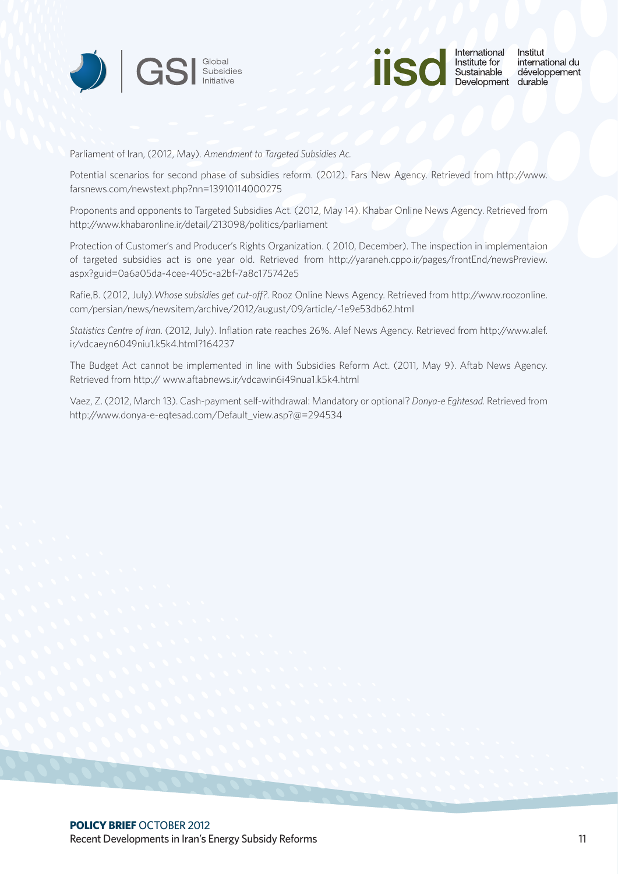![](_page_10_Picture_0.jpeg)

![](_page_10_Picture_1.jpeg)

Parliament of Iran, (2012, May). *Amendment to Targeted Subsidies Ac.*

Potential scenarios for second phase of subsidies reform. (2012). Fars New Agency. Retrieved from [http://www.](http://www.farsnews.com/newstext.php?nn=13910114000275) [farsnews.com/newstext.php?nn=13910114000275](http://www.farsnews.com/newstext.php?nn=13910114000275)

Proponents and opponents to Targeted Subsidies Act. (2012, May 14). Khabar Online News Agency. Retrieved from <http://www.khabaronline.ir/detail/213098/politics/parliament>

Protection of Customer's and Producer's Rights Organization. ( 2010, December). The inspection in implementaion of targeted subsidies act is one year old. Retrieved from [http://yaraneh.cppo.ir/pages/frontEnd/newsPreview.](http://yaraneh.cppo.ir/pages/frontEnd/newsPreview.aspx?guid=0a6a05da-4cee-405c-a2bf-7a8c175742e5) [aspx?guid=0a6a05da-4cee-405c-a2bf-7a8c175742e5](http://yaraneh.cppo.ir/pages/frontEnd/newsPreview.aspx?guid=0a6a05da-4cee-405c-a2bf-7a8c175742e5)

Rafie,B. (2012, July).*Whose subsidies get cut-off?*. Rooz Online News Agency. Retrieved from [http://www.roozonline.](http://www.roozonline.com/persian/news/newsitem/archive/2012/august/09/article/-1e9e53db62.html) [com/persian/news/newsitem/archive/2012/august/09/article/-1e9e53db62.html](http://www.roozonline.com/persian/news/newsitem/archive/2012/august/09/article/-1e9e53db62.html)

*Statistics Centre of Iran*. (2012, July). Inflation rate reaches 26%. Alef News Agency. Retrieved from [http://www.alef.](http://www.alef.ir/vdcaeyn6049niu1.k5k4.html?164237) [ir/vdcaeyn6049niu1.k5k4.html?164237](http://www.alef.ir/vdcaeyn6049niu1.k5k4.html?164237)

The Budget Act cannot be implemented in line with Subsidies Reform Act. (2011, May 9). Aftab News Agency. Retrieved from http://<www.aftabnews.ir/vdcawin6i49nua1.k5k4.html>

Vaez, Z. (2012, March 13). Cash-payment self-withdrawal: Mandatory or optional? *Donya-e Eghtesad.* Retrieved from [http://www.donya-e-eqtesad.com/Default\\_view.asp?](http://www.donya-e-eqtesad.com/Default_view.asp)@=294534